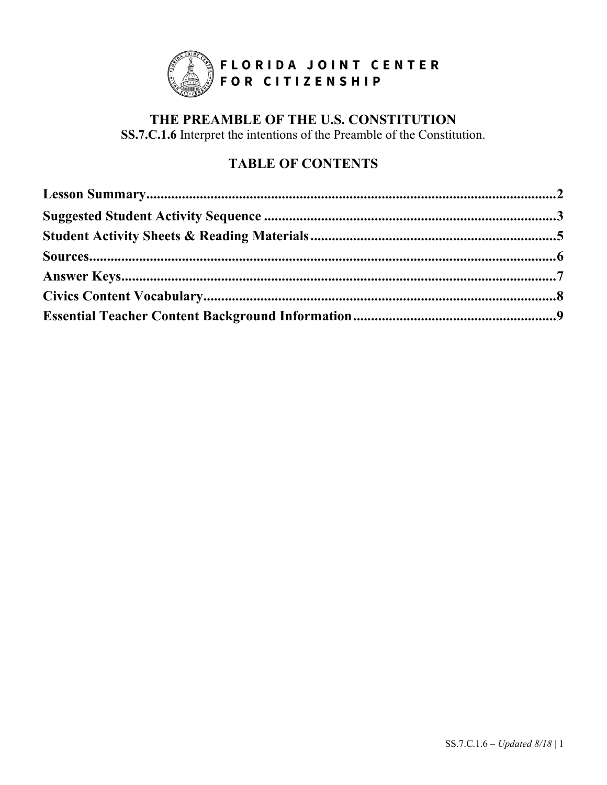

## THE PREAMBLE OF THE U.S. CONSTITUTION SS.7.C.1.6 Interpret the intentions of the Preamble of the Constitution.

# **TABLE OF CONTENTS**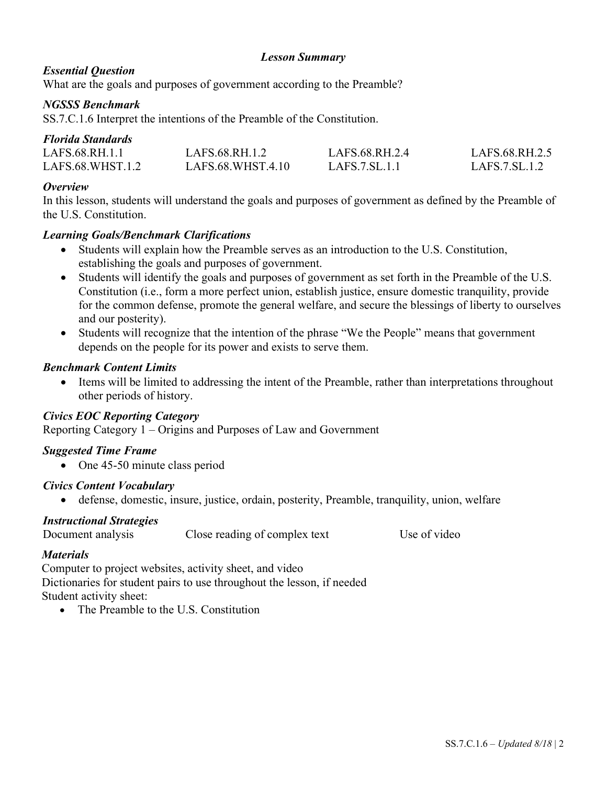## *Lesson Summary*

## *Essential Question*

What are the goals and purposes of government according to the Preamble?

## *NGSSS Benchmark*

SS.7.C.1.6 Interpret the intentions of the Preamble of the Constitution.

## *Florida Standards*

| LAFS.68.RH.1.1   | LAFS.68.RH.1.2    | LAFS.68.RH.2.4 | LAFS.68.RH.2.5 |
|------------------|-------------------|----------------|----------------|
| LAFS.68.WHST.1.2 | LAFS.68.WHST.4.10 | LAFS.7.SL.1.1  | LAFS.7. SL.1.2 |

#### *Overview*

In this lesson, students will understand the goals and purposes of government as defined by the Preamble of the U.S. Constitution.

## *Learning Goals/Benchmark Clarifications*

- Students will explain how the Preamble serves as an introduction to the U.S. Constitution, establishing the goals and purposes of government.
- Students will identify the goals and purposes of government as set forth in the Preamble of the U.S. Constitution (i.e., form a more perfect union, establish justice, ensure domestic tranquility, provide for the common defense, promote the general welfare, and secure the blessings of liberty to ourselves and our posterity).
- Students will recognize that the intention of the phrase "We the People" means that government depends on the people for its power and exists to serve them.

## *Benchmark Content Limits*

• Items will be limited to addressing the intent of the Preamble, rather than interpretations throughout other periods of history.

#### *Civics EOC Reporting Category*

Reporting Category 1 – Origins and Purposes of Law and Government

## *Suggested Time Frame*

• One 45-50 minute class period

#### *Civics Content Vocabulary*

• defense, domestic, insure, justice, ordain, posterity, Preamble, tranquility, union, welfare

#### *Instructional Strategies*

Document analysis Close reading of complex text Use of video

## *Materials*

Computer to project websites, activity sheet, and video Dictionaries for student pairs to use throughout the lesson, if needed Student activity sheet:

• The Preamble to the U.S. Constitution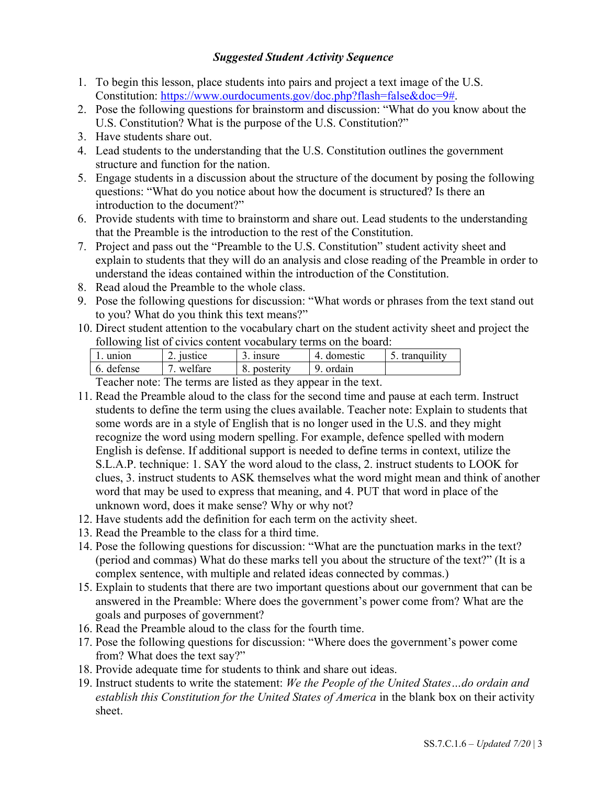#### *Suggested Student Activity Sequence*

- 1. To begin this lesson, place students into pairs and project a text image of the U.S. Constitution: [https://www.ourdocuments.gov/doc.php?flash=false&doc=9#.](https://www.ourdocuments.gov/doc.php?flash=false&doc=9)
- 2. Pose the following questions for brainstorm and discussion: "What do you know about the U.S. Constitution? What is the purpose of the U.S. Constitution?"
- 3. Have students share out.
- 4. Lead students to the understanding that the U.S. Constitution outlines the government structure and function for the nation.
- 5. Engage students in a discussion about the structure of the document by posing the following questions: "What do you notice about how the document is structured? Is there an introduction to the document?"
- 6. Provide students with time to brainstorm and share out. Lead students to the understanding that the Preamble is the introduction to the rest of the Constitution.
- 7. Project and pass out the "Preamble to the U.S. Constitution" student activity sheet and explain to students that they will do an analysis and close reading of the Preamble in order to understand the ideas contained within the introduction of the Constitution.
- 8. Read aloud the Preamble to the whole class.
- 9. Pose the following questions for discussion: "What words or phrases from the text stand out to you? What do you think this text means?"
- 10. Direct student attention to the vocabulary chart on the student activity sheet and project the following list of civics content vocabulary terms on the board:

| union                    | $\degree$ iustice | 3. insure    | 4. domestic | tranquility |
|--------------------------|-------------------|--------------|-------------|-------------|
| 6. defense               | welfare           | 8. posterity | 9. ordain   |             |
| $\overline{\phantom{a}}$ | —1                |              |             |             |

Teacher note: The terms are listed as they appear in the text.

- 11. Read the Preamble aloud to the class for the second time and pause at each term. Instruct students to define the term using the clues available. Teacher note: Explain to students that some words are in a style of English that is no longer used in the U.S. and they might recognize the word using modern spelling. For example, defence spelled with modern English is defense. If additional support is needed to define terms in context, utilize the S.L.A.P. technique: 1. SAY the word aloud to the class, 2. instruct students to LOOK for clues, 3. instruct students to ASK themselves what the word might mean and think of another word that may be used to express that meaning, and 4. PUT that word in place of the unknown word, does it make sense? Why or why not?
- 12. Have students add the definition for each term on the activity sheet.
- 13. Read the Preamble to the class for a third time.
- 14. Pose the following questions for discussion: "What are the punctuation marks in the text? (period and commas) What do these marks tell you about the structure of the text?" (It is a complex sentence, with multiple and related ideas connected by commas.)
- 15. Explain to students that there are two important questions about our government that can be answered in the Preamble: Where does the government's power come from? What are the goals and purposes of government?
- 16. Read the Preamble aloud to the class for the fourth time.
- 17. Pose the following questions for discussion: "Where does the government's power come from? What does the text say?"
- 18. Provide adequate time for students to think and share out ideas.
- 19. Instruct students to write the statement: *We the People of the United States…do ordain and establish this Constitution for the United States of America* in the blank box on their activity sheet.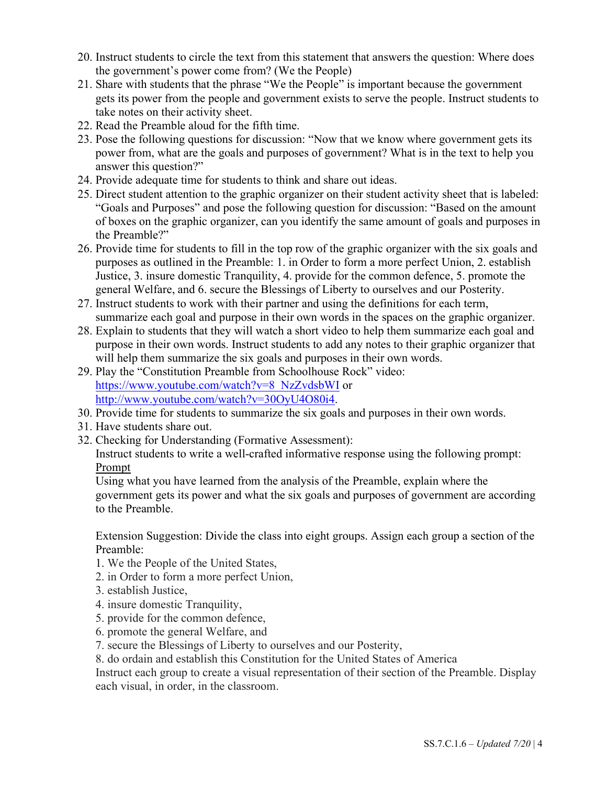- 20. Instruct students to circle the text from this statement that answers the question: Where does the government's power come from? (We the People)
- 21. Share with students that the phrase "We the People" is important because the government gets its power from the people and government exists to serve the people. Instruct students to take notes on their activity sheet.
- 22. Read the Preamble aloud for the fifth time.
- 23. Pose the following questions for discussion: "Now that we know where government gets its power from, what are the goals and purposes of government? What is in the text to help you answer this question?"
- 24. Provide adequate time for students to think and share out ideas.
- 25. Direct student attention to the graphic organizer on their student activity sheet that is labeled: "Goals and Purposes" and pose the following question for discussion: "Based on the amount of boxes on the graphic organizer, can you identify the same amount of goals and purposes in the Preamble?"
- 26. Provide time for students to fill in the top row of the graphic organizer with the six goals and purposes as outlined in the Preamble: 1. in Order to form a more perfect Union, 2. establish Justice, 3. insure domestic Tranquility, 4. provide for the common defence, 5. promote the general Welfare, and 6. secure the Blessings of Liberty to ourselves and our Posterity.
- 27. Instruct students to work with their partner and using the definitions for each term, summarize each goal and purpose in their own words in the spaces on the graphic organizer.
- 28. Explain to students that they will watch a short video to help them summarize each goal and purpose in their own words. Instruct students to add any notes to their graphic organizer that will help them summarize the six goals and purposes in their own words.
- 29. Play the "Constitution Preamble from Schoolhouse Rock" video: [https://www.youtube.com/watch?v=8\\_NzZvdsbWI](https://www.youtube.com/watch?v=8_NzZvdsbWI) or [http://www.youtube.com/watch?v=30OyU4O80i4.](http://www.youtube.com/watch?v=30OyU4O80i4)
- 30. Provide time for students to summarize the six goals and purposes in their own words.
- 31. Have students share out.
- 32. Checking for Understanding (Formative Assessment):

Instruct students to write a well-crafted informative response using the following prompt: Prompt

Using what you have learned from the analysis of the Preamble, explain where the government gets its power and what the six goals and purposes of government are according to the Preamble.

Extension Suggestion: Divide the class into eight groups. Assign each group a section of the Preamble:

- 1. We the People of the United States,
- 2. in Order to form a more perfect Union,
- 3. establish Justice,
- 4. insure domestic Tranquility,
- 5. provide for the common defence,
- 6. promote the general Welfare, and
- 7. secure the Blessings of Liberty to ourselves and our Posterity,
- 8. do ordain and establish this Constitution for the United States of America

Instruct each group to create a visual representation of their section of the Preamble. Display each visual, in order, in the classroom.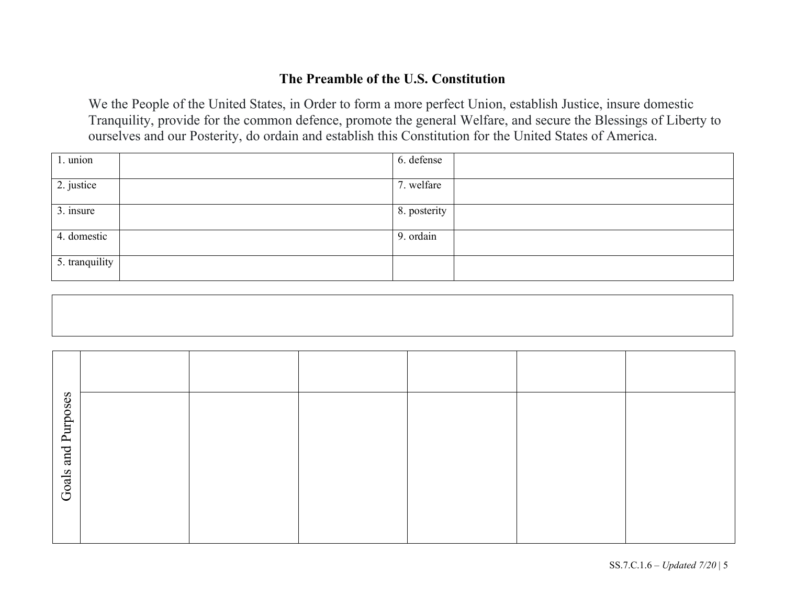## **The Preamble of the U.S. Constitution**

We the People of the United States, in Order to form a more perfect Union, establish Justice, insure domestic Tranquility, provide for the common defence, promote the general Welfare, and secure the Blessings of Liberty to ourselves and our Posterity, do ordain and establish this Constitution for the United States of America.

| 1. union       | 6. defense   |
|----------------|--------------|
| 2. justice     | 7. welfare   |
| 3. insure      | 8. posterity |
| 4. domestic    | 9. ordain    |
| 5. tranquility |              |

| Purposes |  |  |  |
|----------|--|--|--|
| and      |  |  |  |
| Goals    |  |  |  |
|          |  |  |  |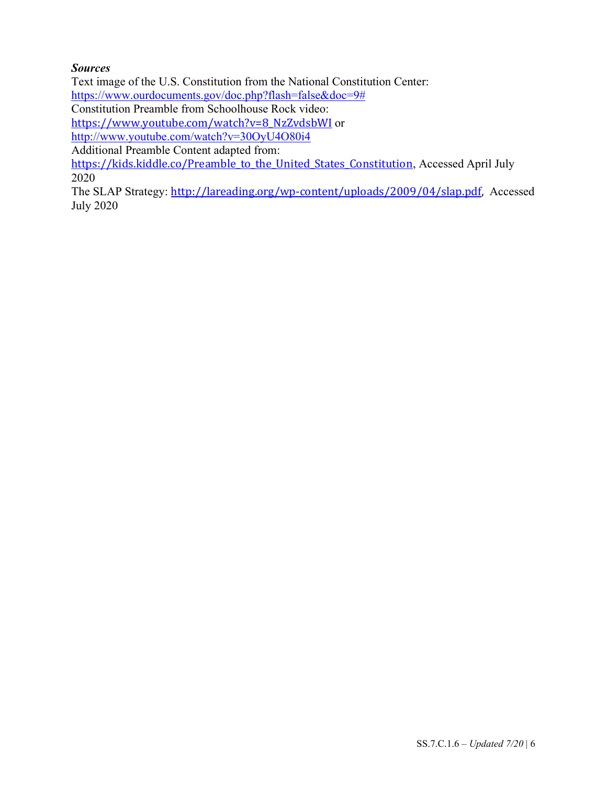## *Sources*

Text image of the U.S. Constitution from the National Constitution Center:

[https://www.ourdocuments.gov/doc.php?flash=false&doc=9#](https://www.ourdocuments.gov/doc.php?flash=false&doc=9)

Constitution Preamble from Schoolhouse Rock video:

[https://www.youtube.com/watch?v=8\\_NzZvdsbWI](https://www.youtube.com/watch?v=8_NzZvdsbWI) or

<http://www.youtube.com/watch?v=30OyU4O80i4>

Additional Preamble Content adapted from:

[https://kids.kiddle.co/Preamble\\_to\\_the\\_United\\_States\\_Constitution](https://kids.kiddle.co/Preamble_to_the_United_States_Constitution), Accessed April July 2020

The SLAP Strategy: [http://lareading.org/wp-content/uploads/2009/04/slap.pdf,](http://lareading.org/wp-content/uploads/2009/04/slap.pdf) Accessed July 2020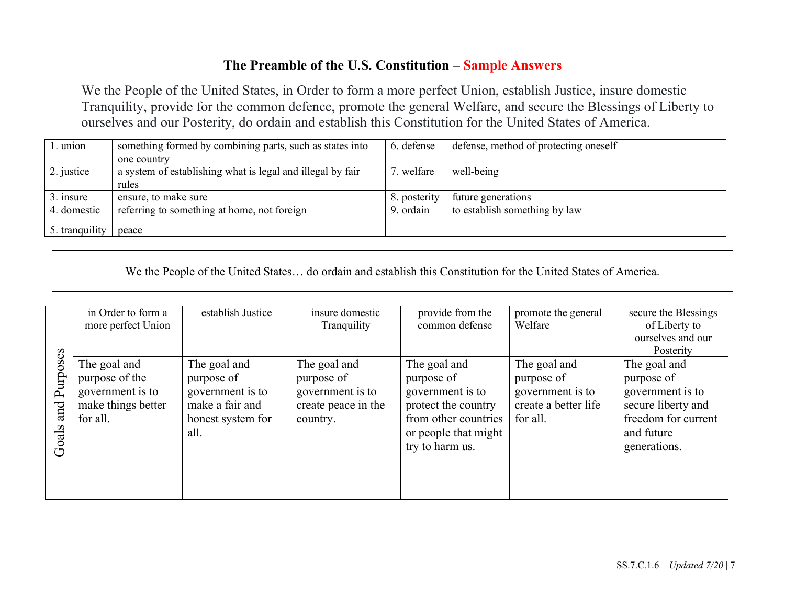## **The Preamble of the U.S. Constitution – Sample Answers**

We the People of the United States, in Order to form a more perfect Union, establish Justice, insure domestic Tranquility, provide for the common defence, promote the general Welfare, and secure the Blessings of Liberty to ourselves and our Posterity, do ordain and establish this Constitution for the United States of America.

| . union        | something formed by combining parts, such as states into   | 6. defense   | defense, method of protecting oneself |
|----------------|------------------------------------------------------------|--------------|---------------------------------------|
|                | one country                                                |              |                                       |
| 2. justice     | a system of establishing what is legal and illegal by fair | 7. welfare   | well-being                            |
|                | rules                                                      |              |                                       |
| 3. insure      | ensure, to make sure                                       | 8. posterity | future generations                    |
| 4. domestic    | referring to something at home, not foreign                | 9. ordain    | to establish something by law         |
|                |                                                            |              |                                       |
| 5. tranquility | peace                                                      |              |                                       |

We the People of the United States… do ordain and establish this Constitution for the United States of America.

|       | in Order to form a | establish Justice | insure domestic     | provide from the     | promote the general  | secure the Blessings |
|-------|--------------------|-------------------|---------------------|----------------------|----------------------|----------------------|
|       | more perfect Union |                   | Tranquility         | common defense       | Welfare              | of Liberty to        |
|       |                    |                   |                     |                      |                      | ourselves and our    |
|       |                    |                   |                     |                      |                      | Posterity            |
| oses  | The goal and       | The goal and      | The goal and        | The goal and         | The goal and         | The goal and         |
| Purp  | purpose of the     | purpose of        | purpose of          | purpose of           | purpose of           | purpose of           |
|       | government is to   | government is to  | government is to    | government is to     | government is to     | government is to     |
| and   | make things better | make a fair and   | create peace in the | protect the country  | create a better life | secure liberty and   |
|       | for all.           | honest system for | country.            | from other countries | for all.             | freedom for current  |
|       |                    | all.              |                     | or people that might |                      | and future           |
| Goals |                    |                   |                     | try to harm us.      |                      | generations.         |
|       |                    |                   |                     |                      |                      |                      |
|       |                    |                   |                     |                      |                      |                      |
|       |                    |                   |                     |                      |                      |                      |
|       |                    |                   |                     |                      |                      |                      |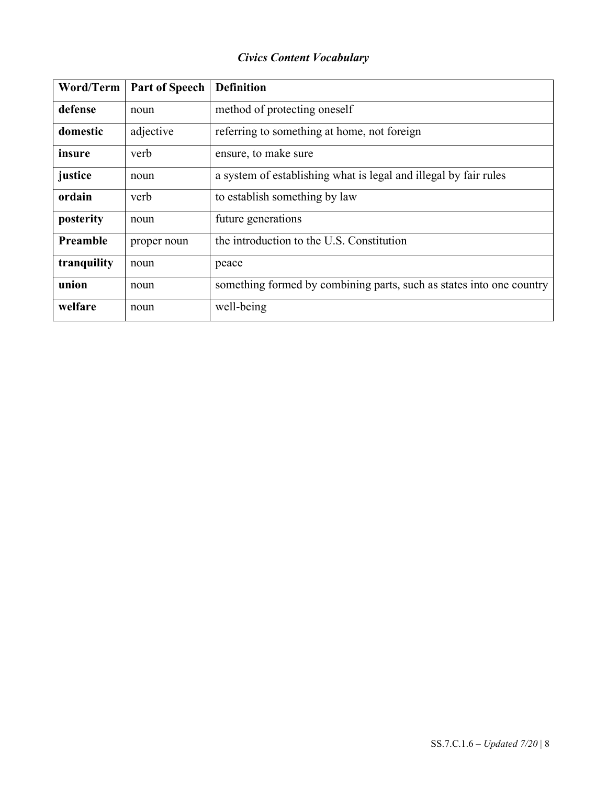# *Civics Content Vocabulary*

| Word/Term   | <b>Part of Speech</b> | <b>Definition</b>                                                    |
|-------------|-----------------------|----------------------------------------------------------------------|
| defense     | noun                  | method of protecting oneself                                         |
| domestic    | adjective             | referring to something at home, not foreign                          |
| insure      | verb                  | ensure, to make sure                                                 |
| justice     | noun                  | a system of establishing what is legal and illegal by fair rules     |
| ordain      | verb                  | to establish something by law                                        |
| posterity   | noun                  | future generations                                                   |
| Preamble    | proper noun           | the introduction to the U.S. Constitution                            |
| tranquility | noun                  | peace                                                                |
| union       | noun                  | something formed by combining parts, such as states into one country |
| welfare     | noun                  | well-being                                                           |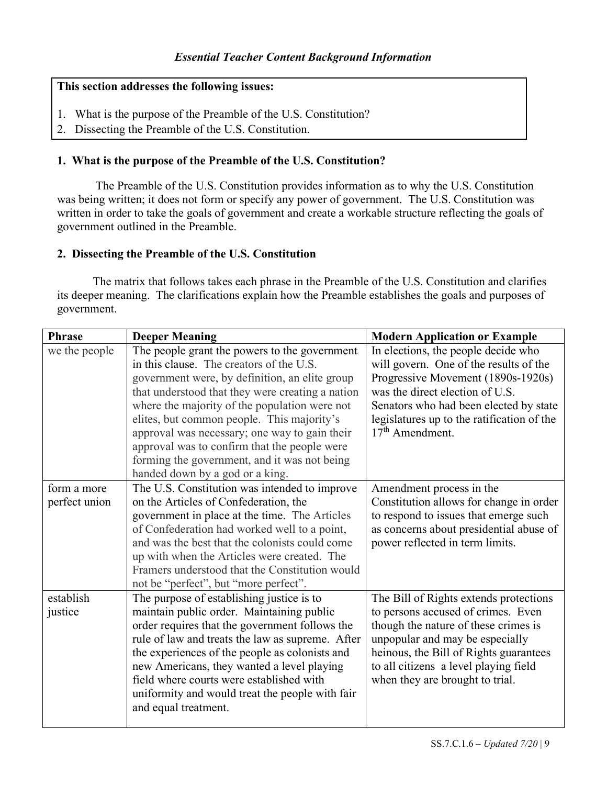#### **This section addresses the following issues:**

- 1. What is the purpose of the Preamble of the U.S. Constitution?
- 2. Dissecting the Preamble of the U.S. Constitution.

#### **1. What is the purpose of the Preamble of the U.S. Constitution?**

The Preamble of the U.S. Constitution provides information as to why the U.S. Constitution was being written; it does not form or specify any power of government. The U.S. Constitution was written in order to take the goals of government and create a workable structure reflecting the goals of government outlined in the Preamble.

#### **2. Dissecting the Preamble of the U.S. Constitution**

The matrix that follows takes each phrase in the Preamble of the U.S. Constitution and clarifies its deeper meaning. The clarifications explain how the Preamble establishes the goals and purposes of government.

| <b>Phrase</b> | <b>Deeper Meaning</b>                            | <b>Modern Application or Example</b>              |
|---------------|--------------------------------------------------|---------------------------------------------------|
| we the people | The people grant the powers to the government    | $\overline{\ln}$ elections, the people decide who |
|               | in this clause. The creators of the U.S.         | will govern. One of the results of the            |
|               | government were, by definition, an elite group   | Progressive Movement (1890s-1920s)                |
|               | that understood that they were creating a nation | was the direct election of U.S.                   |
|               | where the majority of the population were not    | Senators who had been elected by state            |
|               | elites, but common people. This majority's       | legislatures up to the ratification of the        |
|               | approval was necessary; one way to gain their    | $17th$ Amendment.                                 |
|               | approval was to confirm that the people were     |                                                   |
|               | forming the government, and it was not being     |                                                   |
|               | handed down by a god or a king.                  |                                                   |
| form a more   | The U.S. Constitution was intended to improve    | Amendment process in the                          |
| perfect union | on the Articles of Confederation, the            | Constitution allows for change in order           |
|               | government in place at the time. The Articles    | to respond to issues that emerge such             |
|               | of Confederation had worked well to a point,     | as concerns about presidential abuse of           |
|               | and was the best that the colonists could come   | power reflected in term limits.                   |
|               | up with when the Articles were created. The      |                                                   |
|               | Framers understood that the Constitution would   |                                                   |
|               | not be "perfect", but "more perfect".            |                                                   |
| establish     | The purpose of establishing justice is to        | The Bill of Rights extends protections            |
| justice       | maintain public order. Maintaining public        | to persons accused of crimes. Even                |
|               | order requires that the government follows the   | though the nature of these crimes is              |
|               | rule of law and treats the law as supreme. After | unpopular and may be especially                   |
|               | the experiences of the people as colonists and   | heinous, the Bill of Rights guarantees            |
|               | new Americans, they wanted a level playing       | to all citizens a level playing field             |
|               | field where courts were established with         | when they are brought to trial.                   |
|               | uniformity and would treat the people with fair  |                                                   |
|               | and equal treatment.                             |                                                   |
|               |                                                  |                                                   |